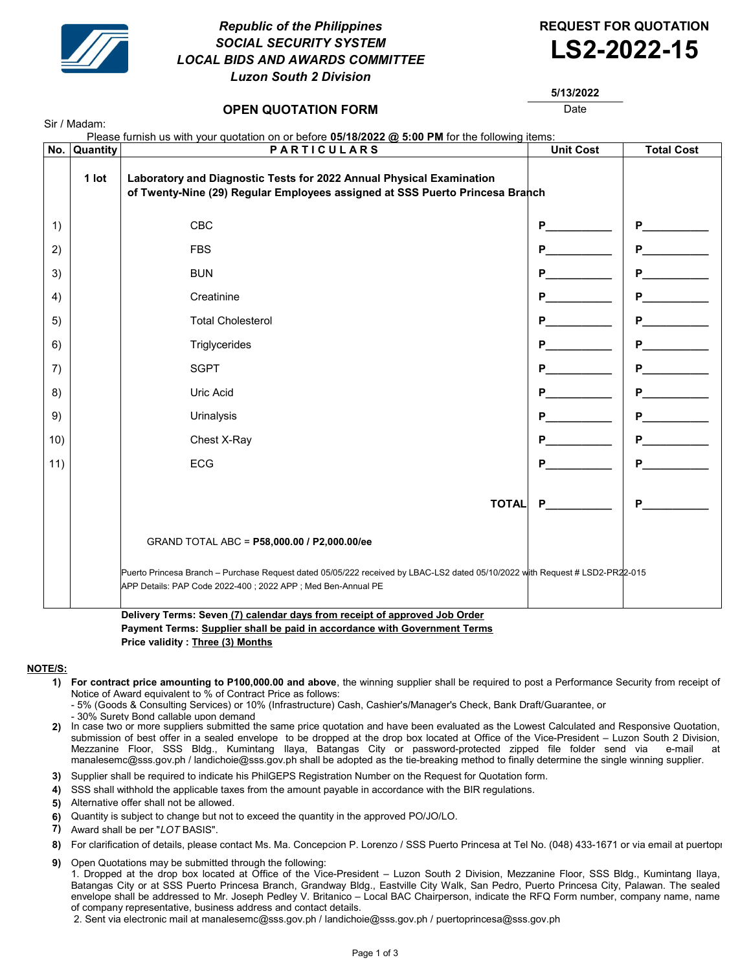

Sir / Madam:

# Republic of the Philippines **REQUEST FOR QUOTATION** SOCIAL SECURITY SYSTEM SOCIAL SECURITY SYSTEM<br>LOCAL BIDS AND AWARDS COMMITTEE **LS2-2022-15** Luzon South 2 Division



## **OPEN QUOTATION FORM DATE:** Date

5/13/2022

| Please furnish us with your quotation on or before 05/18/2022 @ 5:00 PM for the following items: |          |                                                                                                                                                                                               |                  |                                                                                                                                                                                                                                     |
|--------------------------------------------------------------------------------------------------|----------|-----------------------------------------------------------------------------------------------------------------------------------------------------------------------------------------------|------------------|-------------------------------------------------------------------------------------------------------------------------------------------------------------------------------------------------------------------------------------|
| No.                                                                                              | Quantity | <b>PARTICULARS</b>                                                                                                                                                                            | <b>Unit Cost</b> | <b>Total Cost</b>                                                                                                                                                                                                                   |
|                                                                                                  | 1 lot    | Laboratory and Diagnostic Tests for 2022 Annual Physical Examination<br>of Twenty-Nine (29) Regular Employees assigned at SSS Puerto Princesa Branch                                          |                  |                                                                                                                                                                                                                                     |
| 1)                                                                                               |          | CBC                                                                                                                                                                                           | P                | $P_{\text{max}}$                                                                                                                                                                                                                    |
| 2)                                                                                               |          | <b>FBS</b>                                                                                                                                                                                    | P                | <b>P</b> and the set of the set of the set of the set of the set of the set of the set of the set of the set of the set of the set of the set of the set of the set of the set of the set of the set of the set of the set of the s |
| 3)                                                                                               |          | <b>BUN</b>                                                                                                                                                                                    | P                | P                                                                                                                                                                                                                                   |
| 4)                                                                                               |          | Creatinine                                                                                                                                                                                    | P                | P                                                                                                                                                                                                                                   |
| 5)                                                                                               |          | <b>Total Cholesterol</b>                                                                                                                                                                      | P.               |                                                                                                                                                                                                                                     |
| 6)                                                                                               |          | Triglycerides                                                                                                                                                                                 | P                | <b>P</b>                                                                                                                                                                                                                            |
| 7)                                                                                               |          | <b>SGPT</b>                                                                                                                                                                                   | P                | $P_{\text{max}}$                                                                                                                                                                                                                    |
| 8)                                                                                               |          | Uric Acid                                                                                                                                                                                     | P                | <b>P</b>                                                                                                                                                                                                                            |
| 9)                                                                                               |          | Urinalysis                                                                                                                                                                                    |                  | P                                                                                                                                                                                                                                   |
| 10)                                                                                              |          | Chest X-Ray                                                                                                                                                                                   | P                | <b>P</b> and the set of the set of the set of the set of the set of the set of the set of the set of the set of the set of the set of the set of the set of the set of the set of the set of the set of the set of the set of the s |
| 11)                                                                                              |          | <b>ECG</b>                                                                                                                                                                                    | P                | <b>P</b> and the set of the set of the set of the set of the set of the set of the set of the set of the set of the set of the set of the set of the set of the set of the set of the set of the set of the set of the set of the s |
|                                                                                                  |          | <b>TOTAL</b>                                                                                                                                                                                  | P.               | <b>P</b>                                                                                                                                                                                                                            |
|                                                                                                  |          | GRAND TOTAL ABC = P58,000.00 / P2,000.00/ee                                                                                                                                                   |                  |                                                                                                                                                                                                                                     |
|                                                                                                  |          | Puerto Princesa Branch - Purchase Request dated 05/05/222 received by LBAC-LS2 dated 05/10/2022 with Request # LSD2-PR22-015<br>APP Details: PAP Code 2022-400 ; 2022 APP ; Med Ben-Annual PE |                  |                                                                                                                                                                                                                                     |
|                                                                                                  |          | Delivery Terms: Seven (7) calendar days from receint of annroyed Job Order                                                                                                                    |                  |                                                                                                                                                                                                                                     |

Delivery Terms: Seven (7) Payment Terms: Supplier shall be paid in accordance with Government Terms Price validity : Three (3) Months

#### NOTE/S:

- 1) For contract price amounting to P100,000.00 and above, the winning supplier shall be required to post a Performance Security from receipt of Notice of Award equivalent to % of Contract Price as follows:
	- 5% (Goods & Consulting Services) or 10% (Infrastructure) Cash, Cashier's/Manager's Check, Bank Draft/Guarantee, or

- 30% Surety Bond callable upon demand

- 2) In case two or more suppliers submitted the same price quotation and have been evaluated as the Lowest Calculated and Responsive Quotation, submission of best offer in a sealed envelope to be dropped at the drop box located at Office of the Vice-President – Luzon South 2 Division, Mezzanine Floor, SSS Bldg., Kumintang Ilaya, Batangas City or password-protected zipped file folder send via e-mail at manalesemc@sss.gov.ph / landichoie@sss.gov.ph shall be adopted as the tie-breaking method to finally determine the single winning supplier.
- 3) Supplier shall be required to indicate his PhilGEPS Registration Number on the Request for Quotation form.
- 4) SSS shall withhold the applicable taxes from the amount payable in accordance with the BIR regulations.
- 5) Alternative offer shall not be allowed.
- 6) Quantity is subject to change but not to exceed the quantity in the approved PO/JO/LO.
- 7) Award shall be per "LOT BASIS".
- 8) For clarification of details, please contact Ms. Ma. Concepcion P. Lorenzo / SSS Puerto Princesa at Tel No. (048) 433-1671 or via email at puertopr
- 9) Open Quotations may be submitted through the following:

1. Dropped at the drop box located at Office of the Vice-President – Luzon South 2 Division, Mezzanine Floor, SSS Bldg., Kumintang Ilaya, Batangas City or at SSS Puerto Princesa Branch, Grandway Bldg., Eastville City Walk, San Pedro, Puerto Princesa City, Palawan. The sealed envelope shall be addressed to Mr. Joseph Pedley V. Britanico – Local BAC Chairperson, indicate the RFQ Form number, company name, name of company representative, business address and contact details.

2. Sent via electronic mail at manalesemc@sss.gov.ph / landichoie@sss.gov.ph / puertoprincesa@sss.gov.ph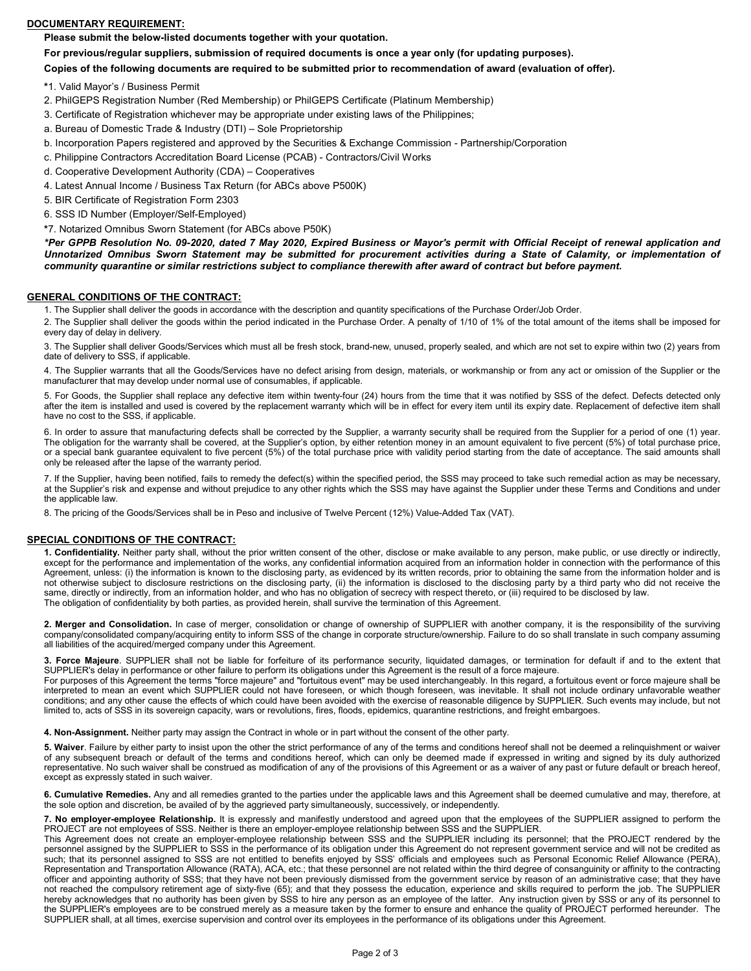## DOCUMENTARY REQUIREMENT:

Please submit the below-listed documents together with your quotation.

For previous/regular suppliers, submission of required documents is once a year only (for updating purposes).

Copies of the following documents are required to be submitted prior to recommendation of award (evaluation of offer).

\*1. Valid Mayor's / Business Permit

2. PhilGEPS Registration Number (Red Membership) or PhilGEPS Certificate (Platinum Membership)

3. Certificate of Registration whichever may be appropriate under existing laws of the Philippines;

a. Bureau of Domestic Trade & Industry (DTI) – Sole Proprietorship

b. Incorporation Papers registered and approved by the Securities & Exchange Commission - Partnership/Corporation

c. Philippine Contractors Accreditation Board License (PCAB) - Contractors/Civil Works

d. Cooperative Development Authority (CDA) – Cooperatives

4. Latest Annual Income / Business Tax Return (for ABCs above P500K)

5. BIR Certificate of Registration Form 2303

6. SSS ID Number (Employer/Self-Employed)

\*7. Notarized Omnibus Sworn Statement (for ABCs above P50K)

\*Per GPPB Resolution No. 09-2020, dated 7 May 2020, Expired Business or Mayor's permit with Official Receipt of renewal application and Unnotarized Omnibus Sworn Statement may be submitted for procurement activities during a State of Calamity, or implementation of community quarantine or similar restrictions subject to compliance therewith after award of contract but before payment.

### GENERAL CONDITIONS OF THE CONTRACT:

1. The Supplier shall deliver the goods in accordance with the description and quantity specifications of the Purchase Order/Job Order.

2. The Supplier shall deliver the goods within the period indicated in the Purchase Order. A penalty of 1/10 of 1% of the total amount of the items shall be imposed for every day of delay in delivery.

3. The Supplier shall deliver Goods/Services which must all be fresh stock, brand-new, unused, properly sealed, and which are not set to expire within two (2) years from date of delivery to SSS, if applicable.

4. The Supplier warrants that all the Goods/Services have no defect arising from design, materials, or workmanship or from any act or omission of the Supplier or the manufacturer that may develop under normal use of consumables, if applicable.

5. For Goods, the Supplier shall replace any defective item within twenty-four (24) hours from the time that it was notified by SSS of the defect. Defects detected only after the item is installed and used is covered by the replacement warranty which will be in effect for every item until its expiry date. Replacement of defective item shall have no cost to the SSS, if applicable.

6. In order to assure that manufacturing defects shall be corrected by the Supplier, a warranty security shall be required from the Supplier for a period of one (1) year. The obligation for the warranty shall be covered, at the Supplier's option, by either retention money in an amount equivalent to five percent (5%) of total purchase price, or a special bank guarantee equivalent to five percent (5%) of the total purchase price with validity period starting from the date of acceptance. The said amounts shall only be released after the lapse of the warranty period.

7. If the Supplier, having been notified, fails to remedy the defect(s) within the specified period, the SSS may proceed to take such remedial action as may be necessary, at the Supplier's risk and expense and without prejudice to any other rights which the SSS may have against the Supplier under these Terms and Conditions and under the applicable law.

8. The pricing of the Goods/Services shall be in Peso and inclusive of Twelve Percent (12%) Value-Added Tax (VAT).

## SPECIAL CONDITIONS OF THE CONTRACT:

1. Confidentiality. Neither party shall, without the prior written consent of the other, disclose or make available to any person, make public, or use directly or indirectly, except for the performance and implementation of the works, any confidential information acquired from an information holder in connection with the performance of this Agreement, unless: (i) the information is known to the disclosing party, as evidenced by its written records, prior to obtaining the same from the information holder and is not otherwise subject to disclosure restrictions on the disclosing party, (ii) the information is disclosed to the disclosing party by a third party who did not receive the same, directly or indirectly, from an information holder, and who has no obligation of secrecy with respect thereto, or (iii) required to be disclosed by law. The obligation of confidentiality by both parties, as provided herein, shall survive the termination of this Agreement.

2. Merger and Consolidation. In case of merger, consolidation or change of ownership of SUPPLIER with another company, it is the responsibility of the surviving company/consolidated company/acquiring entity to inform SSS of the change in corporate structure/ownership. Failure to do so shall translate in such company assuming all liabilities of the acquired/merged company under this Agreement.

3. Force Majeure. SUPPLIER shall not be liable for forfeiture of its performance security, liquidated damages, or termination for default if and to the extent that SUPPLIER's delay in performance or other failure to perform its obligations under this Agreement is the result of a force majeure.

For purposes of this Agreement the terms "force majeure" and "fortuitous event" may be used interchangeably. In this regard, a fortuitous event or force majeure shall be interpreted to mean an event which SUPPLIER could not have foreseen, or which though foreseen, was inevitable. It shall not include ordinary unfavorable weather conditions; and any other cause the effects of which could have been avoided with the exercise of reasonable diligence by SUPPLIER. Such events may include, but not limited to, acts of SSS in its sovereign capacity, wars or revolutions, fires, floods, epidemics, quarantine restrictions, and freight embargoes.

4. Non-Assignment. Neither party may assign the Contract in whole or in part without the consent of the other party.

5. Waiver. Failure by either party to insist upon the other the strict performance of any of the terms and conditions hereof shall not be deemed a relinquishment or waiver of any subsequent breach or default of the terms and conditions hereof, which can only be deemed made if expressed in writing and signed by its duly authorized representative. No such waiver shall be construed as modification of any of the provisions of this Agreement or as a waiver of any past or future default or breach hereof, except as expressly stated in such waiver.

6. Cumulative Remedies. Any and all remedies granted to the parties under the applicable laws and this Agreement shall be deemed cumulative and may, therefore, at the sole option and discretion, be availed of by the aggrieved party simultaneously, successively, or independently.

7. No employer-employee Relationship. It is expressly and manifestly understood and agreed upon that the employees of the SUPPLIER assigned to perform the PROJECT are not employees of SSS. Neither is there an employer-employee relationship between SSS and the SUPPLIER.

This Agreement does not create an employer-employee relationship between SSS and the SUPPLIER including its personnel; that the PROJECT rendered by the personnel assigned by the SUPPLIER to SSS in the performance of its obligation under this Agreement do not represent government service and will not be credited as such; that its personnel assigned to SSS are not entitled to benefits enjoyed by SSS' officials and employees such as Personal Economic Relief Allowance (PERA), Representation and Transportation Allowance (RATA), ACA, etc.; that these personnel are not related within the third degree of consanguinity or affinity to the contracting officer and appointing authority of SSS; that they have not been previously dismissed from the government service by reason of an administrative case; that they have not reached the compulsory retirement age of sixty-five (65); and that they possess the education, experience and skills required to perform the job. The SUPPLIER hereby acknowledges that no authority has been given by SSS to hire any person as an employee of the latter. Any instruction given by SSS or any of its personnel to the SUPPLIER's employees are to be construed merely as a measure taken by the former to ensure and enhance the quality of PROJECT performed hereunder. The SUPPLIER shall, at all times, exercise supervision and control over its employees in the performance of its obligations under this Agreement.